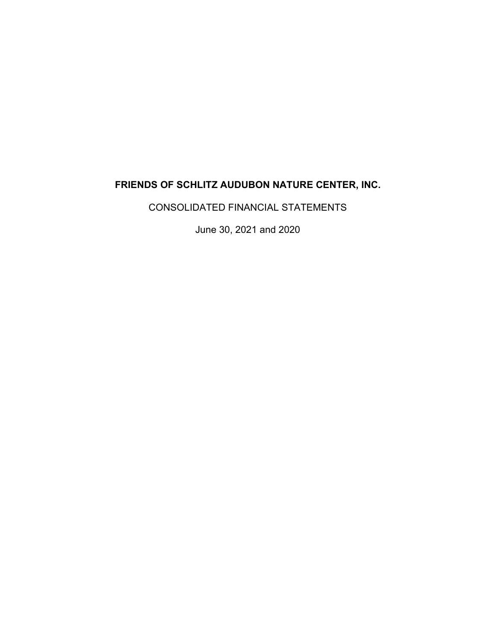CONSOLIDATED FINANCIAL STATEMENTS

June 30, 2021 and 2020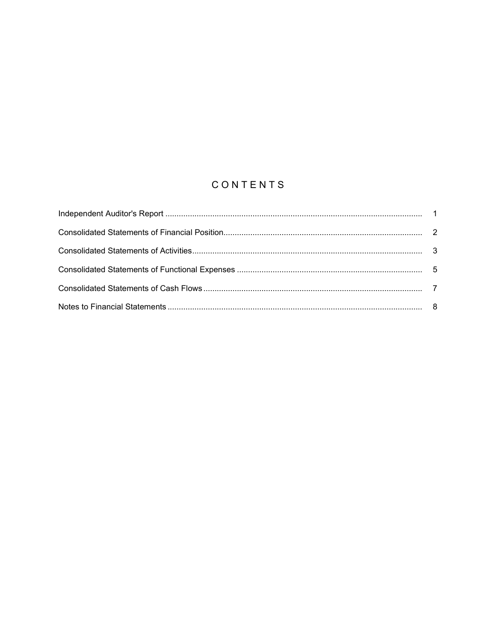# CONTENTS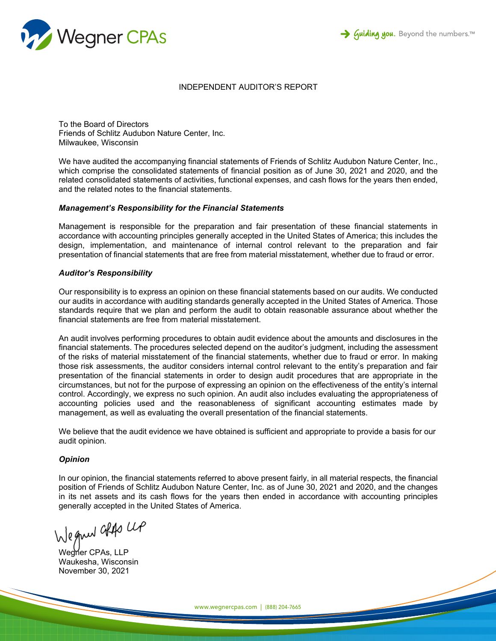



## INDEPENDENT AUDITOR'S REPORT

To the Board of Directors Friends of Schlitz Audubon Nature Center, Inc. Milwaukee, Wisconsin

We have audited the accompanying financial statements of Friends of Schlitz Audubon Nature Center, Inc., which comprise the consolidated statements of financial position as of June 30, 2021 and 2020, and the related consolidated statements of activities, functional expenses, and cash flows for the years then ended, and the related notes to the financial statements.

#### *Management's Responsibility for the Financial Statements*

Management is responsible for the preparation and fair presentation of these financial statements in accordance with accounting principles generally accepted in the United States of America; this includes the design, implementation, and maintenance of internal control relevant to the preparation and fair presentation of financial statements that are free from material misstatement, whether due to fraud or error.

#### *Auditor's Responsibility*

Our responsibility is to express an opinion on these financial statements based on our audits. We conducted our audits in accordance with auditing standards generally accepted in the United States of America. Those standards require that we plan and perform the audit to obtain reasonable assurance about whether the financial statements are free from material misstatement.

An audit involves performing procedures to obtain audit evidence about the amounts and disclosures in the financial statements. The procedures selected depend on the auditor's judgment, including the assessment of the risks of material misstatement of the financial statements, whether due to fraud or error. In making those risk assessments, the auditor considers internal control relevant to the entity's preparation and fair presentation of the financial statements in order to design audit procedures that are appropriate in the circumstances, but not for the purpose of expressing an opinion on the effectiveness of the entity's internal control. Accordingly, we express no such opinion. An audit also includes evaluating the appropriateness of accounting policies used and the reasonableness of significant accounting estimates made by management, as well as evaluating the overall presentation of the financial statements.

We believe that the audit evidence we have obtained is sufficient and appropriate to provide a basis for our audit opinion.

#### *Opinion*

In our opinion, the financial statements referred to above present fairly, in all material respects, the financial position of Friends of Schlitz Audubon Nature Center, Inc. as of June 30, 2021 and 2020, and the changes in its net assets and its cash flows for the years then ended in accordance with accounting principles generally accepted in the United States of America.

Wegner also up

Wegner CPAs, LLP Waukesha, Wisconsin November 30, 2021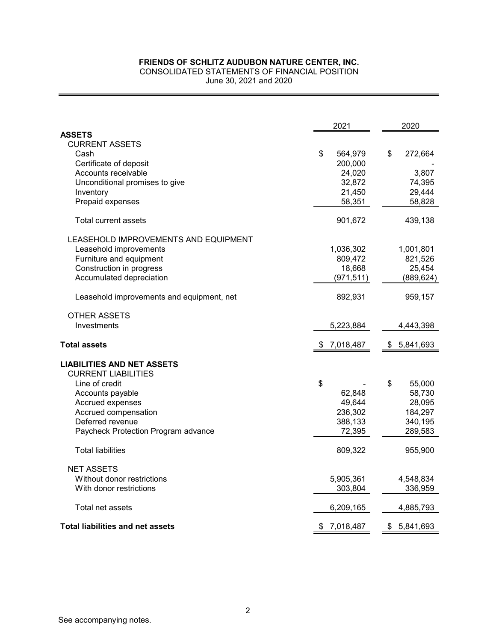CONSOLIDATED STATEMENTS OF FINANCIAL POSITION June 30, 2021 and 2020

|                                           | 2021            | 2020            |
|-------------------------------------------|-----------------|-----------------|
| <b>ASSETS</b>                             |                 |                 |
| <b>CURRENT ASSETS</b>                     |                 |                 |
| Cash                                      | \$<br>564,979   | \$<br>272,664   |
| Certificate of deposit                    | 200,000         |                 |
| Accounts receivable                       | 24,020          | 3,807           |
| Unconditional promises to give            | 32,872          | 74,395          |
| Inventory                                 | 21,450          | 29,444          |
| Prepaid expenses                          | 58,351          | 58,828          |
| <b>Total current assets</b>               | 901,672         | 439,138         |
| LEASEHOLD IMPROVEMENTS AND EQUIPMENT      |                 |                 |
| Leasehold improvements                    | 1,036,302       | 1,001,801       |
| Furniture and equipment                   | 809,472         | 821,526         |
| Construction in progress                  | 18,668          | 25,454          |
| Accumulated depreciation                  | (971, 511)      | (889, 624)      |
| Leasehold improvements and equipment, net | 892,931         | 959,157         |
| <b>OTHER ASSETS</b>                       |                 |                 |
| Investments                               | 5,223,884       | 4,443,398       |
| <b>Total assets</b>                       | \$<br>7,018,487 | \$<br>5,841,693 |
| <b>LIABILITIES AND NET ASSETS</b>         |                 |                 |
| <b>CURRENT LIABILITIES</b>                |                 |                 |
| Line of credit                            | \$              | \$<br>55,000    |
| Accounts payable                          | 62,848          | 58,730          |
| Accrued expenses                          | 49,644          | 28,095          |
| Accrued compensation                      | 236,302         | 184,297         |
| Deferred revenue                          | 388,133         | 340,195         |
| Paycheck Protection Program advance       | 72,395          | 289,583         |
| <b>Total liabilities</b>                  | 809,322         | 955,900         |
| <b>NET ASSETS</b>                         |                 |                 |
| Without donor restrictions                | 5,905,361       | 4,548,834       |
| With donor restrictions                   | 303,804         | 336,959         |
| Total net assets                          | 6,209,165       | 4,885,793       |
| <b>Total liabilities and net assets</b>   | \$<br>7,018,487 | \$<br>5,841,693 |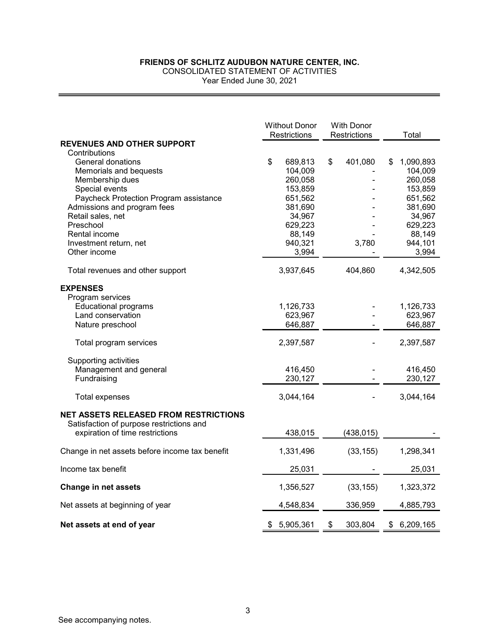CONSOLIDATED STATEMENT OF ACTIVITIES

Year Ended June 30, 2021

|                                                | <b>Without Donor</b><br><b>With Donor</b><br><b>Restrictions</b><br>Restrictions |                    | Total         |                    |
|------------------------------------------------|----------------------------------------------------------------------------------|--------------------|---------------|--------------------|
| <b>REVENUES AND OTHER SUPPORT</b>              |                                                                                  |                    |               |                    |
| Contributions                                  |                                                                                  |                    |               |                    |
| General donations                              | \$                                                                               | 689,813            | \$<br>401,080 | \$<br>1,090,893    |
| Memorials and bequests                         |                                                                                  | 104,009            |               | 104,009            |
| Membership dues<br>Special events              |                                                                                  | 260,058<br>153,859 |               | 260,058<br>153,859 |
| Paycheck Protection Program assistance         |                                                                                  | 651,562            |               | 651,562            |
| Admissions and program fees                    |                                                                                  | 381,690            |               | 381,690            |
| Retail sales, net                              |                                                                                  | 34,967             |               | 34,967             |
| Preschool                                      |                                                                                  | 629,223            |               | 629,223            |
| Rental income                                  |                                                                                  | 88,149             |               | 88,149             |
| Investment return, net                         |                                                                                  | 940,321            | 3,780         | 944,101            |
| Other income                                   |                                                                                  | 3,994              |               | 3,994              |
| Total revenues and other support               |                                                                                  | 3,937,645          | 404,860       | 4,342,505          |
| <b>EXPENSES</b>                                |                                                                                  |                    |               |                    |
| Program services                               |                                                                                  |                    |               |                    |
| <b>Educational programs</b>                    |                                                                                  | 1,126,733          |               | 1,126,733          |
| Land conservation                              |                                                                                  | 623,967            |               | 623,967            |
| Nature preschool                               |                                                                                  | 646,887            |               | 646,887            |
| Total program services                         |                                                                                  | 2,397,587          |               | 2,397,587          |
| Supporting activities                          |                                                                                  |                    |               |                    |
| Management and general                         |                                                                                  | 416,450            |               | 416,450            |
| Fundraising                                    |                                                                                  | 230,127            |               | 230,127            |
| <b>Total expenses</b>                          |                                                                                  | 3,044,164          |               | 3,044,164          |
| <b>NET ASSETS RELEASED FROM RESTRICTIONS</b>   |                                                                                  |                    |               |                    |
| Satisfaction of purpose restrictions and       |                                                                                  |                    |               |                    |
| expiration of time restrictions                |                                                                                  | 438,015            | (438, 015)    |                    |
| Change in net assets before income tax benefit |                                                                                  | 1,331,496          | (33, 155)     | 1,298,341          |
| Income tax benefit                             |                                                                                  | 25,031             |               | 25,031             |
| Change in net assets                           |                                                                                  | 1,356,527          | (33, 155)     | 1,323,372          |
| Net assets at beginning of year                |                                                                                  | 4,548,834          | 336,959       | 4,885,793          |
| Net assets at end of year                      |                                                                                  | \$5,905,361        | \$<br>303,804 | \$<br>6,209,165    |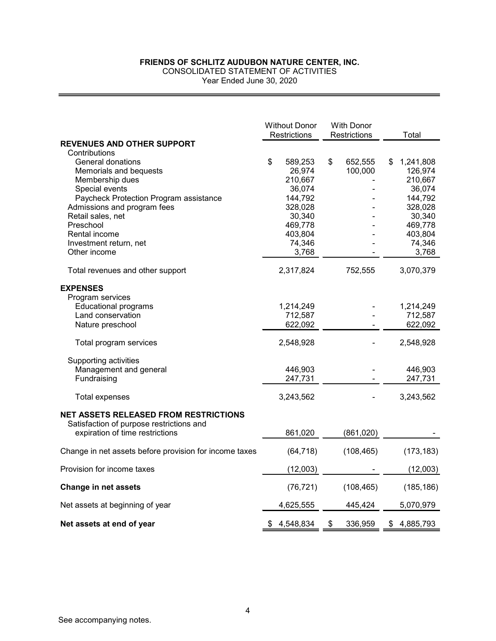CONSOLIDATED STATEMENT OF ACTIVITIES

Year Ended June 30, 2020

|                                                        | <b>Without Donor</b><br><b>Restrictions</b> | <b>With Donor</b><br>Restrictions | Total                      |
|--------------------------------------------------------|---------------------------------------------|-----------------------------------|----------------------------|
| <b>REVENUES AND OTHER SUPPORT</b>                      |                                             |                                   |                            |
| Contributions                                          |                                             |                                   |                            |
| General donations<br>Memorials and bequests            | \$<br>589,253<br>26,974                     | \$<br>652,555<br>100,000          | \$<br>1,241,808<br>126,974 |
| Membership dues                                        | 210,667                                     |                                   | 210,667                    |
| Special events                                         | 36,074                                      |                                   | 36,074                     |
| Paycheck Protection Program assistance                 | 144,792                                     |                                   | 144,792                    |
| Admissions and program fees                            | 328,028                                     |                                   | 328,028                    |
| Retail sales, net                                      | 30,340                                      |                                   | 30,340                     |
| Preschool                                              | 469,778                                     |                                   | 469,778                    |
| Rental income                                          | 403,804                                     |                                   | 403,804                    |
| Investment return, net                                 | 74,346                                      |                                   | 74,346                     |
| Other income                                           | 3,768                                       |                                   | 3,768                      |
| Total revenues and other support                       | 2,317,824                                   | 752,555                           | 3,070,379                  |
| <b>EXPENSES</b>                                        |                                             |                                   |                            |
| Program services                                       |                                             |                                   |                            |
| <b>Educational programs</b>                            | 1,214,249                                   |                                   | 1,214,249                  |
| Land conservation                                      | 712,587                                     |                                   | 712,587                    |
| Nature preschool                                       | 622,092                                     |                                   | 622,092                    |
| Total program services                                 | 2,548,928                                   |                                   | 2,548,928                  |
| Supporting activities                                  |                                             |                                   |                            |
| Management and general                                 | 446,903                                     |                                   | 446,903                    |
| Fundraising                                            | 247,731                                     |                                   | 247,731                    |
| <b>Total expenses</b>                                  | 3,243,562                                   |                                   | 3,243,562                  |
| <b>NET ASSETS RELEASED FROM RESTRICTIONS</b>           |                                             |                                   |                            |
| Satisfaction of purpose restrictions and               |                                             |                                   |                            |
| expiration of time restrictions                        | 861,020                                     | (861,020)                         |                            |
| Change in net assets before provision for income taxes | (64, 718)                                   | (108, 465)                        | (173, 183)                 |
| Provision for income taxes                             | (12,003)                                    |                                   | (12,003)                   |
| <b>Change in net assets</b>                            | (76, 721)                                   | (108, 465)                        | (185, 186)                 |
| Net assets at beginning of year                        | 4,625,555                                   | 445,424                           | 5,070,979                  |
| Net assets at end of year                              | \$<br>4,548,834                             | \$<br>336,959                     | \$<br>4,885,793            |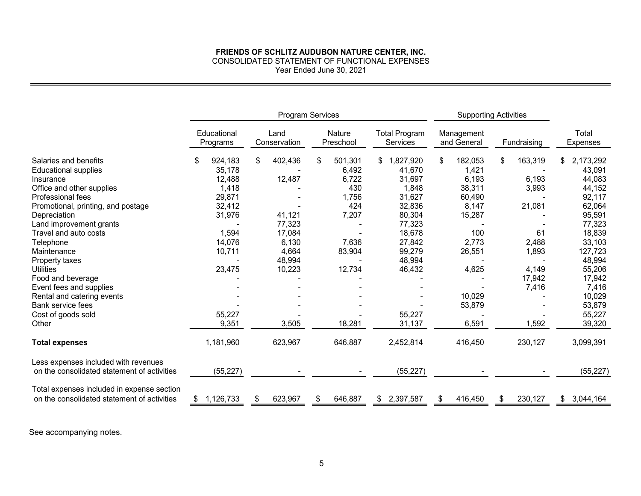CONSOLIDATED STATEMENT OF FUNCTIONAL EXPENSES

Year Ended June 30, 2021

|                                                                                           |                         |                      | Program Services<br><b>Supporting Activities</b> |                                  |                           |               |                   |  |
|-------------------------------------------------------------------------------------------|-------------------------|----------------------|--------------------------------------------------|----------------------------------|---------------------------|---------------|-------------------|--|
|                                                                                           | Educational<br>Programs | Land<br>Conservation | Nature<br>Preschool                              | <b>Total Program</b><br>Services | Management<br>and General | Fundraising   | Total<br>Expenses |  |
| Salaries and benefits                                                                     | 924,183<br>\$           | 402,436<br>\$        | 501,301<br>\$                                    | 1,827,920                        | 182,053<br>\$             | \$<br>163,319 | 2,173,292<br>SS.  |  |
| <b>Educational supplies</b>                                                               | 35,178                  |                      | 6,492                                            | 41,670                           | 1,421                     |               | 43,091            |  |
| Insurance                                                                                 | 12,488                  | 12,487               | 6,722                                            | 31,697                           | 6,193                     | 6,193         | 44,083            |  |
| Office and other supplies                                                                 | 1,418                   |                      | 430                                              | 1,848                            | 38,311                    | 3,993         | 44,152            |  |
| Professional fees                                                                         | 29,871                  |                      | 1,756                                            | 31,627                           | 60,490                    |               | 92,117            |  |
| Promotional, printing, and postage                                                        | 32,412                  |                      | 424                                              | 32,836                           | 8,147                     | 21,081        | 62,064            |  |
| Depreciation                                                                              | 31,976                  | 41,121               | 7,207                                            | 80,304                           | 15,287                    |               | 95,591            |  |
| Land improvement grants                                                                   |                         | 77,323               |                                                  | 77,323                           |                           |               | 77,323            |  |
| Travel and auto costs                                                                     | 1,594                   | 17,084               |                                                  | 18,678                           | 100                       | 61            | 18,839            |  |
| Telephone                                                                                 | 14,076                  | 6,130                | 7,636                                            | 27,842                           | 2,773                     | 2,488         | 33,103            |  |
| Maintenance                                                                               | 10,711                  | 4,664                | 83,904                                           | 99,279                           | 26,551                    | 1,893         | 127,723           |  |
| Property taxes                                                                            |                         | 48,994               |                                                  | 48,994                           |                           |               | 48,994            |  |
| <b>Utilities</b>                                                                          | 23,475                  | 10,223               | 12,734                                           | 46,432                           | 4,625                     | 4,149         | 55,206            |  |
| Food and beverage                                                                         |                         |                      |                                                  |                                  |                           | 17,942        | 17,942            |  |
| Event fees and supplies                                                                   |                         |                      |                                                  |                                  |                           | 7,416         | 7,416             |  |
| Rental and catering events                                                                |                         |                      |                                                  |                                  | 10,029                    |               | 10,029            |  |
| <b>Bank service fees</b>                                                                  |                         |                      |                                                  |                                  | 53,879                    |               | 53,879            |  |
| Cost of goods sold                                                                        | 55,227                  |                      |                                                  | 55,227                           |                           |               | 55,227            |  |
| Other                                                                                     | 9,351                   | 3,505                | 18,281                                           | 31,137                           | 6,591                     | 1,592         | 39,320            |  |
| <b>Total expenses</b>                                                                     | 1,181,960               | 623,967              | 646,887                                          | 2,452,814                        | 416,450                   | 230,127       | 3,099,391         |  |
| Less expenses included with revenues<br>on the consolidated statement of activities       | (55, 227)               |                      |                                                  | (55, 227)                        |                           |               | (55, 227)         |  |
| Total expenses included in expense section<br>on the consolidated statement of activities | 1,126,733               | 623,967              | 646,887                                          | 2,397,587<br>\$.                 | 416,450<br>\$             | 230,127<br>\$ | 3,044,164<br>\$.  |  |

See accompanying notes.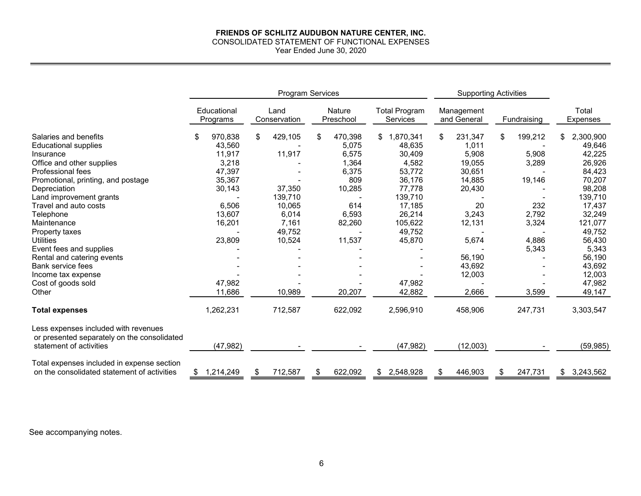#### **FRIENDS OF SCHLITZ AUDUBON NATURE CENTER, INC.** CONSOLIDATED STATEMENT OF FUNCTIONAL EXPENSES Year Ended June 30, 2020

|                                                                                     |                         |                      | <b>Program Services</b>    |                                  | <b>Supporting Activities</b> |                |                          |  |
|-------------------------------------------------------------------------------------|-------------------------|----------------------|----------------------------|----------------------------------|------------------------------|----------------|--------------------------|--|
|                                                                                     | Educational<br>Programs | Land<br>Conservation | <b>Nature</b><br>Preschool | <b>Total Program</b><br>Services | Management<br>and General    | Fundraising    | Total<br><b>Expenses</b> |  |
| Salaries and benefits                                                               | 970,838<br>\$           | 429,105<br>\$        | 470,398<br>\$              | 1,870,341                        | 231,347<br>\$                | 199,212<br>\$. | 2,300,900                |  |
| <b>Educational supplies</b>                                                         | 43,560                  |                      | 5,075                      | 48,635                           | 1,011                        |                | 49,646                   |  |
| Insurance                                                                           | 11,917                  | 11,917               | 6,575                      | 30,409                           | 5,908                        | 5,908          | 42,225                   |  |
| Office and other supplies                                                           | 3,218                   |                      | 1,364                      | 4,582                            | 19,055                       | 3,289          | 26,926                   |  |
| Professional fees                                                                   | 47,397                  |                      | 6,375                      | 53,772                           | 30,651                       |                | 84,423                   |  |
| Promotional, printing, and postage                                                  | 35,367                  |                      | 809                        | 36,176                           | 14,885                       | 19,146         | 70,207                   |  |
| Depreciation                                                                        | 30,143                  | 37,350               | 10,285                     | 77,778                           | 20,430                       |                | 98,208                   |  |
| Land improvement grants                                                             |                         | 139,710              |                            | 139,710                          |                              |                | 139,710                  |  |
| Travel and auto costs                                                               | 6,506                   | 10,065               | 614                        | 17,185                           | 20                           | 232            | 17,437                   |  |
| Telephone                                                                           | 13,607                  | 6,014                | 6,593                      | 26,214                           | 3,243                        | 2,792          | 32,249                   |  |
| Maintenance                                                                         | 16,201                  | 7,161                | 82,260                     | 105,622                          | 12,131                       | 3,324          | 121,077                  |  |
| Property taxes                                                                      |                         | 49,752               |                            | 49,752                           |                              |                | 49,752                   |  |
| <b>Utilities</b>                                                                    | 23,809                  | 10,524               | 11,537                     | 45,870                           | 5,674                        | 4,886          | 56,430                   |  |
| Event fees and supplies                                                             |                         |                      |                            |                                  |                              | 5,343          | 5,343                    |  |
| Rental and catering events                                                          |                         |                      |                            |                                  | 56,190                       |                | 56,190                   |  |
| Bank service fees                                                                   |                         |                      |                            |                                  | 43,692                       |                | 43,692                   |  |
| Income tax expense                                                                  |                         |                      |                            |                                  | 12,003                       |                | 12,003                   |  |
| Cost of goods sold                                                                  | 47.982                  |                      |                            | 47,982                           |                              |                | 47,982                   |  |
| Other                                                                               | 11,686                  | 10,989               | 20,207                     | 42,882                           | 2,666                        | 3,599          | 49,147                   |  |
| <b>Total expenses</b>                                                               | 1,262,231               | 712,587              | 622,092                    | 2,596,910                        | 458,906                      | 247,731        | 3,303,547                |  |
| Less expenses included with revenues<br>or presented separately on the consolidated |                         |                      |                            |                                  |                              |                |                          |  |
| statement of activities                                                             | (47, 982)               |                      |                            | (47, 982)                        | (12,003)                     |                | (59, 985)                |  |
| Total expenses included in expense section                                          |                         |                      |                            |                                  |                              |                |                          |  |
| on the consolidated statement of activities                                         | 1,214,249<br>\$         | 712,587<br>S         | 622,092<br>\$              | \$2,548,928                      | 446,903<br>\$                | 247,731<br>\$. | \$3,243,562              |  |

See accompanying notes.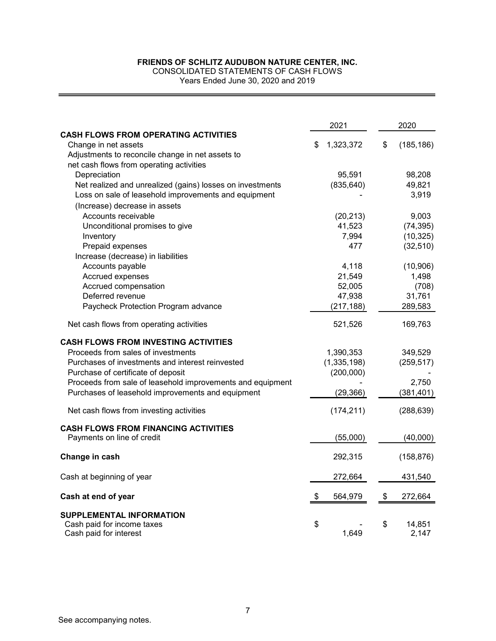CONSOLIDATED STATEMENTS OF CASH FLOWS

Years Ended June 30, 2020 and 2019

|                                                            | 2021            | 2020             |
|------------------------------------------------------------|-----------------|------------------|
| <b>CASH FLOWS FROM OPERATING ACTIVITIES</b>                |                 |                  |
| Change in net assets                                       | 1,323,372<br>\$ | \$<br>(185, 186) |
| Adjustments to reconcile change in net assets to           |                 |                  |
| net cash flows from operating activities                   |                 |                  |
| Depreciation                                               | 95,591          | 98,208           |
| Net realized and unrealized (gains) losses on investments  | (835, 640)      | 49,821           |
| Loss on sale of leasehold improvements and equipment       |                 | 3,919            |
| (Increase) decrease in assets                              |                 |                  |
| Accounts receivable                                        | (20, 213)       | 9,003            |
| Unconditional promises to give                             | 41,523          | (74, 395)        |
| Inventory                                                  | 7,994           | (10, 325)        |
| Prepaid expenses                                           | 477             | (32, 510)        |
| Increase (decrease) in liabilities                         |                 |                  |
| Accounts payable                                           | 4,118           | (10,906)         |
| Accrued expenses                                           | 21,549          | 1,498            |
| Accrued compensation                                       | 52,005          | (708)            |
| Deferred revenue                                           | 47,938          | 31,761           |
| Paycheck Protection Program advance                        | (217, 188)      | 289,583          |
| Net cash flows from operating activities                   | 521,526         | 169,763          |
| <b>CASH FLOWS FROM INVESTING ACTIVITIES</b>                |                 |                  |
| Proceeds from sales of investments                         | 1,390,353       | 349,529          |
| Purchases of investments and interest reinvested           | (1, 335, 198)   | (259, 517)       |
| Purchase of certificate of deposit                         | (200,000)       |                  |
| Proceeds from sale of leasehold improvements and equipment |                 | 2,750            |
| Purchases of leasehold improvements and equipment          | (29, 366)       | (381, 401)       |
| Net cash flows from investing activities                   | (174, 211)      | (288, 639)       |
| <b>CASH FLOWS FROM FINANCING ACTIVITIES</b>                |                 |                  |
| Payments on line of credit                                 | (55,000)        | (40,000)         |
| Change in cash                                             | 292,315         | (158, 876)       |
| Cash at beginning of year                                  | 272,664         | 431,540          |
|                                                            |                 |                  |
| Cash at end of year                                        | \$<br>564,979   | \$<br>272,664    |
| <b>SUPPLEMENTAL INFORMATION</b>                            |                 |                  |
| Cash paid for income taxes                                 | \$              | \$<br>14,851     |
| Cash paid for interest                                     | 1,649           | 2,147            |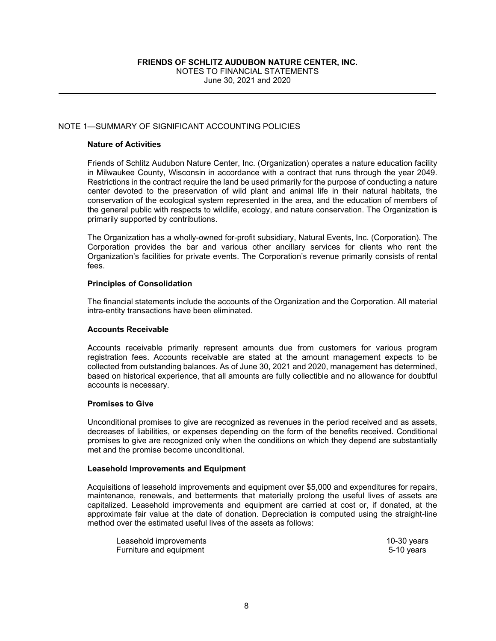## NOTE 1—SUMMARY OF SIGNIFICANT ACCOUNTING POLICIES

#### **Nature of Activities**

Friends of Schlitz Audubon Nature Center, Inc. (Organization) operates a nature education facility in Milwaukee County, Wisconsin in accordance with a contract that runs through the year 2049. Restrictions in the contract require the land be used primarily for the purpose of conducting a nature center devoted to the preservation of wild plant and animal life in their natural habitats, the conservation of the ecological system represented in the area, and the education of members of the general public with respects to wildlife, ecology, and nature conservation. The Organization is primarily supported by contributions.

The Organization has a wholly-owned for-profit subsidiary, Natural Events, Inc. (Corporation). The Corporation provides the bar and various other ancillary services for clients who rent the Organization's facilities for private events. The Corporation's revenue primarily consists of rental fees.

#### **Principles of Consolidation**

The financial statements include the accounts of the Organization and the Corporation. All material intra-entity transactions have been eliminated.

#### **Accounts Receivable**

Accounts receivable primarily represent amounts due from customers for various program registration fees. Accounts receivable are stated at the amount management expects to be collected from outstanding balances. As of June 30, 2021 and 2020, management has determined, based on historical experience, that all amounts are fully collectible and no allowance for doubtful accounts is necessary.

#### **Promises to Give**

Unconditional promises to give are recognized as revenues in the period received and as assets, decreases of liabilities, or expenses depending on the form of the benefits received. Conditional promises to give are recognized only when the conditions on which they depend are substantially met and the promise become unconditional.

#### **Leasehold Improvements and Equipment**

Acquisitions of leasehold improvements and equipment over \$5,000 and expenditures for repairs, maintenance, renewals, and betterments that materially prolong the useful lives of assets are capitalized. Leasehold improvements and equipment are carried at cost or, if donated, at the approximate fair value at the date of donation. Depreciation is computed using the straight-line method over the estimated useful lives of the assets as follows:

| Leasehold improvements  | $10-30$ years |  |
|-------------------------|---------------|--|
| Furniture and equipment | 5-10 years    |  |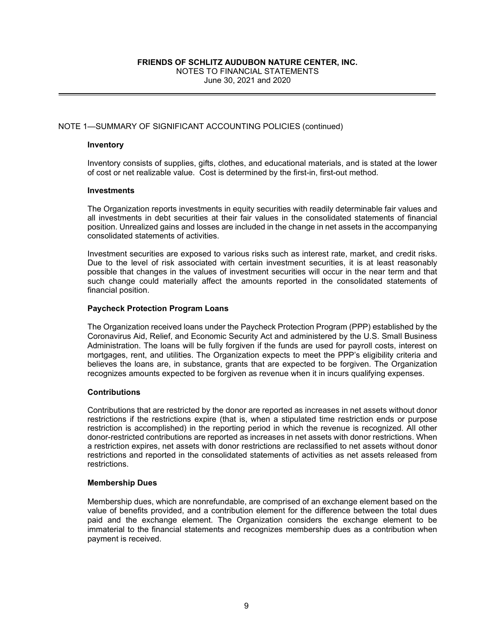## NOTE 1—SUMMARY OF SIGNIFICANT ACCOUNTING POLICIES (continued)

#### **Inventory**

Inventory consists of supplies, gifts, clothes, and educational materials, and is stated at the lower of cost or net realizable value. Cost is determined by the first-in, first-out method.

#### **Investments**

The Organization reports investments in equity securities with readily determinable fair values and all investments in debt securities at their fair values in the consolidated statements of financial position. Unrealized gains and losses are included in the change in net assets in the accompanying consolidated statements of activities.

Investment securities are exposed to various risks such as interest rate, market, and credit risks. Due to the level of risk associated with certain investment securities, it is at least reasonably possible that changes in the values of investment securities will occur in the near term and that such change could materially affect the amounts reported in the consolidated statements of financial position.

#### **Paycheck Protection Program Loans**

The Organization received loans under the Paycheck Protection Program (PPP) established by the Coronavirus Aid, Relief, and Economic Security Act and administered by the U.S. Small Business Administration. The loans will be fully forgiven if the funds are used for payroll costs, interest on mortgages, rent, and utilities. The Organization expects to meet the PPP's eligibility criteria and believes the loans are, in substance, grants that are expected to be forgiven. The Organization recognizes amounts expected to be forgiven as revenue when it in incurs qualifying expenses.

#### **Contributions**

Contributions that are restricted by the donor are reported as increases in net assets without donor restrictions if the restrictions expire (that is, when a stipulated time restriction ends or purpose restriction is accomplished) in the reporting period in which the revenue is recognized. All other donor-restricted contributions are reported as increases in net assets with donor restrictions. When a restriction expires, net assets with donor restrictions are reclassified to net assets without donor restrictions and reported in the consolidated statements of activities as net assets released from restrictions.

#### **Membership Dues**

Membership dues, which are nonrefundable, are comprised of an exchange element based on the value of benefits provided, and a contribution element for the difference between the total dues paid and the exchange element. The Organization considers the exchange element to be immaterial to the financial statements and recognizes membership dues as a contribution when payment is received.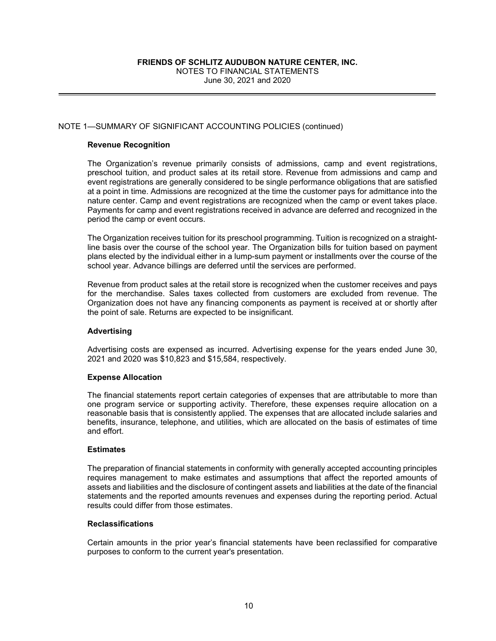## NOTE 1—SUMMARY OF SIGNIFICANT ACCOUNTING POLICIES (continued)

#### **Revenue Recognition**

The Organization's revenue primarily consists of admissions, camp and event registrations, preschool tuition, and product sales at its retail store. Revenue from admissions and camp and event registrations are generally considered to be single performance obligations that are satisfied at a point in time. Admissions are recognized at the time the customer pays for admittance into the nature center. Camp and event registrations are recognized when the camp or event takes place. Payments for camp and event registrations received in advance are deferred and recognized in the period the camp or event occurs.

The Organization receives tuition for its preschool programming. Tuition is recognized on a straightline basis over the course of the school year. The Organization bills for tuition based on payment plans elected by the individual either in a lump-sum payment or installments over the course of the school year. Advance billings are deferred until the services are performed.

Revenue from product sales at the retail store is recognized when the customer receives and pays for the merchandise. Sales taxes collected from customers are excluded from revenue. The Organization does not have any financing components as payment is received at or shortly after the point of sale. Returns are expected to be insignificant.

#### **Advertising**

Advertising costs are expensed as incurred. Advertising expense for the years ended June 30, 2021 and 2020 was \$10,823 and \$15,584, respectively.

#### **Expense Allocation**

The financial statements report certain categories of expenses that are attributable to more than one program service or supporting activity. Therefore, these expenses require allocation on a reasonable basis that is consistently applied. The expenses that are allocated include salaries and benefits, insurance, telephone, and utilities, which are allocated on the basis of estimates of time and effort.

## **Estimates**

The preparation of financial statements in conformity with generally accepted accounting principles requires management to make estimates and assumptions that affect the reported amounts of assets and liabilities and the disclosure of contingent assets and liabilities at the date of the financial statements and the reported amounts revenues and expenses during the reporting period. Actual results could differ from those estimates.

#### **Reclassifications**

Certain amounts in the prior year's financial statements have been reclassified for comparative purposes to conform to the current year's presentation.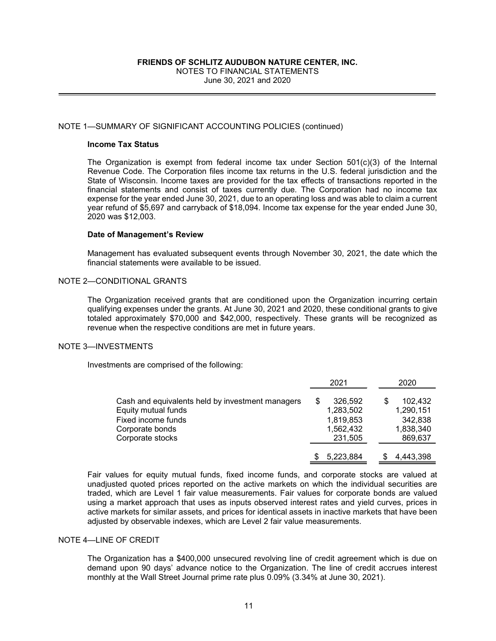#### NOTE 1—SUMMARY OF SIGNIFICANT ACCOUNTING POLICIES (continued)

#### **Income Tax Status**

The Organization is exempt from federal income tax under Section 501(c)(3) of the Internal Revenue Code. The Corporation files income tax returns in the U.S. federal jurisdiction and the State of Wisconsin. Income taxes are provided for the tax effects of transactions reported in the financial statements and consist of taxes currently due. The Corporation had no income tax expense for the year ended June 30, 2021, due to an operating loss and was able to claim a current year refund of \$5,697 and carryback of \$18,094. Income tax expense for the year ended June 30, 2020 was \$12,003.

#### **Date of Management's Review**

Management has evaluated subsequent events through November 30, 2021, the date which the financial statements were available to be issued.

## NOTE 2—CONDITIONAL GRANTS

The Organization received grants that are conditioned upon the Organization incurring certain qualifying expenses under the grants. At June 30, 2021 and 2020, these conditional grants to give totaled approximately \$70,000 and \$42,000, respectively. These grants will be recognized as revenue when the respective conditions are met in future years.

#### NOTE 3—INVESTMENTS

Investments are comprised of the following:

|                                                                                                                                      | 2021                                                      | 2020                                                    |
|--------------------------------------------------------------------------------------------------------------------------------------|-----------------------------------------------------------|---------------------------------------------------------|
| Cash and equivalents held by investment managers<br>Equity mutual funds<br>Fixed income funds<br>Corporate bonds<br>Corporate stocks | 326,592<br>1,283,502<br>1,819,853<br>1,562,432<br>231,505 | 102.432<br>1,290,151<br>342,838<br>1,838,340<br>869,637 |
|                                                                                                                                      | 5,223,884                                                 | 4.443.398                                               |

Fair values for equity mutual funds, fixed income funds, and corporate stocks are valued at unadjusted quoted prices reported on the active markets on which the individual securities are traded, which are Level 1 fair value measurements. Fair values for corporate bonds are valued using a market approach that uses as inputs observed interest rates and yield curves, prices in active markets for similar assets, and prices for identical assets in inactive markets that have been adjusted by observable indexes, which are Level 2 fair value measurements.

## NOTE 4—LINE OF CREDIT

The Organization has a \$400,000 unsecured revolving line of credit agreement which is due on demand upon 90 days' advance notice to the Organization. The line of credit accrues interest monthly at the Wall Street Journal prime rate plus 0.09% (3.34% at June 30, 2021).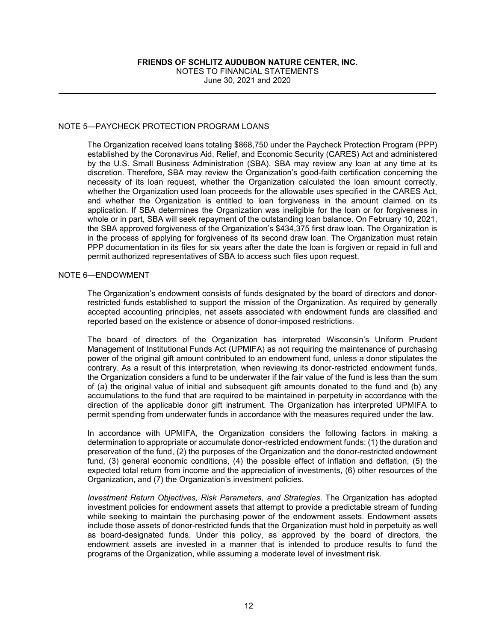NOTES TO FINANCIAL STATEMENTS June 30, 2021 and 2020

## NOTE 5—PAYCHECK PROTECTION PROGRAM LOANS

The Organization received loans totaling \$868,750 under the Paycheck Protection Program (PPP) established by the Coronavirus Aid, Relief, and Economic Security (CARES) Act and administered by the U.S. Small Business Administration (SBA). SBA may review any loan at any time at its discretion. Therefore, SBA may review the Organization's good-faith certification concerning the necessity of its loan request, whether the Organization calculated the loan amount correctly, whether the Organization used loan proceeds for the allowable uses specified in the CARES Act, and whether the Organization is entitled to loan forgiveness in the amount claimed on its application. If SBA determines the Organization was ineligible for the loan or for forgiveness in whole or in part, SBA will seek repayment of the outstanding loan balance. On February 10, 2021, the SBA approved forgiveness of the Organization's \$434,375 first draw loan. The Organization is in the process of applying for forgiveness of its second draw loan. The Organization must retain PPP documentation in its files for six years after the date the loan is forgiven or repaid in full and permit authorized representatives of SBA to access such files upon request.

#### NOTE 6—ENDOWMENT

The Organization's endowment consists of funds designated by the board of directors and donorrestricted funds established to support the mission of the Organization. As required by generally accepted accounting principles, net assets associated with endowment funds are classified and reported based on the existence or absence of donor-imposed restrictions.

The board of directors of the Organization has interpreted Wisconsin's Uniform Prudent Management of Institutional Funds Act (UPMIFA) as not requiring the maintenance of purchasing power of the original gift amount contributed to an endowment fund, unless a donor stipulates the contrary. As a result of this interpretation, when reviewing its donor-restricted endowment funds, the Organization considers a fund to be underwater if the fair value of the fund is less than the sum of (a) the original value of initial and subsequent gift amounts donated to the fund and (b) any accumulations to the fund that are required to be maintained in perpetuity in accordance with the direction of the applicable donor gift instrument. The Organization has interpreted UPMIFA to permit spending from underwater funds in accordance with the measures required under the law.

In accordance with UPMIFA, the Organization considers the following factors in making a determination to appropriate or accumulate donor-restricted endowment funds: (1) the duration and preservation of the fund, (2) the purposes of the Organization and the donor-restricted endowment fund, (3) general economic conditions, (4) the possible effect of inflation and deflation, (5) the expected total return from income and the appreciation of investments, (6) other resources of the Organization, and (7) the Organization's investment policies.

*Investment Return Objectives, Risk Parameters, and Strategies*. The Organization has adopted investment policies for endowment assets that attempt to provide a predictable stream of funding while seeking to maintain the purchasing power of the endowment assets. Endowment assets include those assets of donor-restricted funds that the Organization must hold in perpetuity as well as board-designated funds. Under this policy, as approved by the board of directors, the endowment assets are invested in a manner that is intended to produce results to fund the programs of the Organization, while assuming a moderate level of investment risk.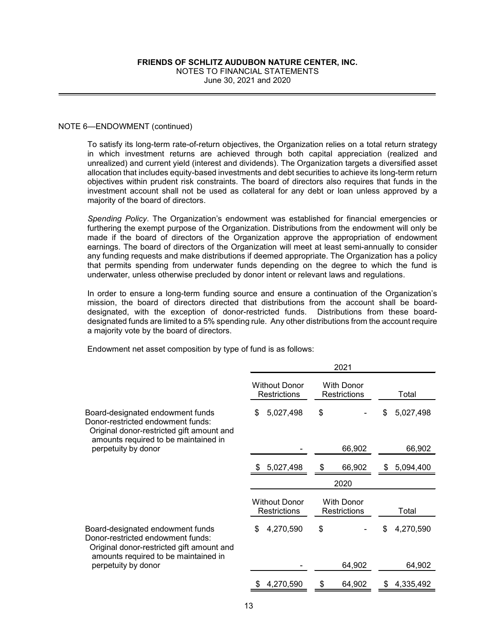#### NOTE 6—ENDOWMENT (continued)

To satisfy its long-term rate-of-return objectives, the Organization relies on a total return strategy in which investment returns are achieved through both capital appreciation (realized and unrealized) and current yield (interest and dividends). The Organization targets a diversified asset allocation that includes equity-based investments and debt securities to achieve its long-term return objectives within prudent risk constraints. The board of directors also requires that funds in the investment account shall not be used as collateral for any debt or loan unless approved by a majority of the board of directors.

*Spending Policy*. The Organization's endowment was established for financial emergencies or furthering the exempt purpose of the Organization. Distributions from the endowment will only be made if the board of directors of the Organization approve the appropriation of endowment earnings. The board of directors of the Organization will meet at least semi-annually to consider any funding requests and make distributions if deemed appropriate. The Organization has a policy that permits spending from underwater funds depending on the degree to which the fund is underwater, unless otherwise precluded by donor intent or relevant laws and regulations.

In order to ensure a long-term funding source and ensure a continuation of the Organization's mission, the board of directors directed that distributions from the account shall be boarddesignated, with the exception of donor-restricted funds. Distributions from these boarddesignated funds are limited to a 5% spending rule. Any other distributions from the account require a majority vote by the board of directors.

Endowment net asset composition by type of fund is as follows:

|                                                                                                                    | 2021                                        |                                          |                 |  |  |
|--------------------------------------------------------------------------------------------------------------------|---------------------------------------------|------------------------------------------|-----------------|--|--|
|                                                                                                                    | <b>Without Donor</b><br><b>Restrictions</b> | <b>With Donor</b><br><b>Restrictions</b> | Total           |  |  |
| Board-designated endowment funds<br>Donor-restricted endowment funds:<br>Original donor-restricted gift amount and | 5,027,498<br>\$                             | \$                                       | 5,027,498<br>\$ |  |  |
| amounts required to be maintained in<br>perpetuity by donor                                                        |                                             | 66,902                                   | 66,902          |  |  |
|                                                                                                                    | 5,027,498                                   | 66,902<br>\$                             | 5,094,400<br>S  |  |  |
|                                                                                                                    |                                             | 2020                                     |                 |  |  |
|                                                                                                                    | <b>Without Donor</b><br><b>Restrictions</b> | <b>With Donor</b><br><b>Restrictions</b> | Total           |  |  |
| Board-designated endowment funds<br>Donor-restricted endowment funds:<br>Original donor-restricted gift amount and | 4,270,590<br>\$                             | \$                                       | 4,270,590<br>\$ |  |  |
| amounts required to be maintained in<br>perpetuity by donor                                                        |                                             | 64,902                                   | 64,902          |  |  |
|                                                                                                                    | 4,270,590                                   | \$<br>64,902                             | 4,335,492       |  |  |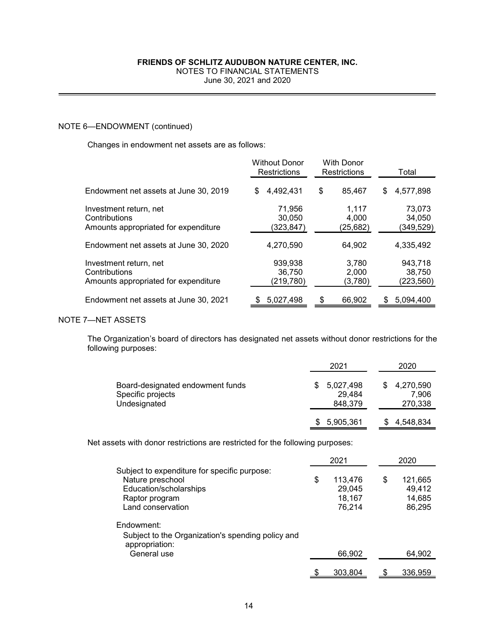June 30, 2021 and 2020

## NOTE 6—ENDOWMENT (continued)

Changes in endowment net assets are as follows:

|                                       | <b>Without Donor</b><br><b>Restrictions</b> | <b>With Donor</b><br><b>Restrictions</b> | Total     |
|---------------------------------------|---------------------------------------------|------------------------------------------|-----------|
| Endowment net assets at June 30, 2019 | 4,492,431                                   | \$                                       | 4.577.898 |
|                                       | S                                           | 85,467                                   | S         |
| Investment return, net                | 71,956                                      | 1,117                                    | 73,073    |
| Contributions                         | 30,050                                      | 4,000                                    | 34,050    |
| Amounts appropriated for expenditure  | (323,847)                                   | (25,682)                                 | (349,529) |
| Endowment net assets at June 30, 2020 | 4,270,590                                   | 64.902                                   | 4,335,492 |
| Investment return, net                | 939.938                                     | 3.780                                    | 943.718   |
| Contributions                         | 36,750                                      | 2,000                                    | 38,750    |
| Amounts appropriated for expenditure  | (219,780)                                   | (3,780)                                  | (223,560) |
| Endowment net assets at June 30, 2021 | 5,027,498                                   | \$<br>66,902                             | 5,094,400 |

## NOTE 7—NET ASSETS

The Organization's board of directors has designated net assets without donor restrictions for the following purposes:

|                                                                       | 2021                           | 2020                            |
|-----------------------------------------------------------------------|--------------------------------|---------------------------------|
| Board-designated endowment funds<br>Specific projects<br>Undesignated | 5,027,498<br>29,484<br>848,379 | \$4,270,590<br>7.906<br>270,338 |
|                                                                       | 5,905,361                      | \$4,548,834                     |

Net assets with donor restrictions are restricted for the following purposes:

|                                                                                                                                   | 2021 |                                       |   | 2020                                  |  |
|-----------------------------------------------------------------------------------------------------------------------------------|------|---------------------------------------|---|---------------------------------------|--|
| Subject to expenditure for specific purpose:<br>Nature preschool<br>Education/scholarships<br>Raptor program<br>Land conservation | \$   | 113,476<br>29,045<br>18,167<br>76,214 | S | 121,665<br>49,412<br>14,685<br>86,295 |  |
| Endowment:<br>Subject to the Organization's spending policy and<br>appropriation:<br>General use                                  |      | 66,902                                |   | 64,902                                |  |
|                                                                                                                                   |      | 303.804                               |   | 336.959                               |  |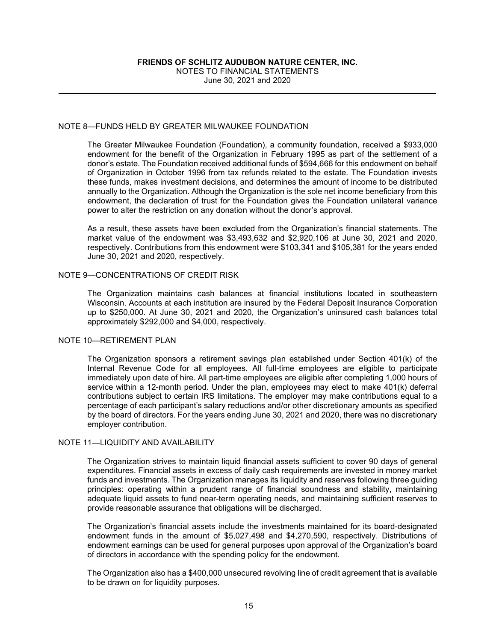June 30, 2021 and 2020

## NOTE 8—FUNDS HELD BY GREATER MILWAUKEE FOUNDATION

The Greater Milwaukee Foundation (Foundation), a community foundation, received a \$933,000 endowment for the benefit of the Organization in February 1995 as part of the settlement of a donor's estate. The Foundation received additional funds of \$594,666 for this endowment on behalf of Organization in October 1996 from tax refunds related to the estate. The Foundation invests these funds, makes investment decisions, and determines the amount of income to be distributed annually to the Organization. Although the Organization is the sole net income beneficiary from this endowment, the declaration of trust for the Foundation gives the Foundation unilateral variance power to alter the restriction on any donation without the donor's approval.

As a result, these assets have been excluded from the Organization's financial statements. The market value of the endowment was \$3,493,632 and \$2,920,106 at June 30, 2021 and 2020, respectively. Contributions from this endowment were \$103,341 and \$105,381 for the years ended June 30, 2021 and 2020, respectively.

#### NOTE 9—CONCENTRATIONS OF CREDIT RISK

The Organization maintains cash balances at financial institutions located in southeastern Wisconsin. Accounts at each institution are insured by the Federal Deposit Insurance Corporation up to \$250,000. At June 30, 2021 and 2020, the Organization's uninsured cash balances total approximately \$292,000 and \$4,000, respectively.

#### NOTE 10-RETIREMENT PLAN

The Organization sponsors a retirement savings plan established under Section 401(k) of the Internal Revenue Code for all employees. All full-time employees are eligible to participate immediately upon date of hire. All part-time employees are eligible after completing 1,000 hours of service within a 12-month period. Under the plan, employees may elect to make 401(k) deferral contributions subject to certain IRS limitations. The employer may make contributions equal to a percentage of each participant's salary reductions and/or other discretionary amounts as specified by the board of directors. For the years ending June 30, 2021 and 2020, there was no discretionary employer contribution.

#### NOTE 11—LIQUIDITY AND AVAILABILITY

The Organization strives to maintain liquid financial assets sufficient to cover 90 days of general expenditures. Financial assets in excess of daily cash requirements are invested in money market funds and investments. The Organization manages its liquidity and reserves following three guiding principles: operating within a prudent range of financial soundness and stability, maintaining adequate liquid assets to fund near-term operating needs, and maintaining sufficient reserves to provide reasonable assurance that obligations will be discharged.

The Organization's financial assets include the investments maintained for its board-designated endowment funds in the amount of \$5,027,498 and \$4,270,590, respectively. Distributions of endowment earnings can be used for general purposes upon approval of the Organization's board of directors in accordance with the spending policy for the endowment.

The Organization also has a \$400,000 unsecured revolving line of credit agreement that is available to be drawn on for liquidity purposes.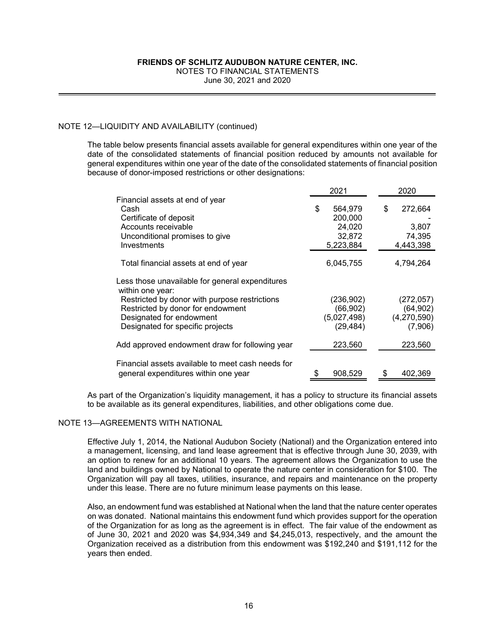June 30, 2021 and 2020

## NOTE 12—LIQUIDITY AND AVAILABILITY (continued)

The table below presents financial assets available for general expenditures within one year of the date of the consolidated statements of financial position reduced by amounts not available for general expenditures within one year of the date of the consolidated statements of financial position because of donor-imposed restrictions or other designations:

| 2021 |           |                        | 2020        |  |
|------|-----------|------------------------|-------------|--|
|      |           |                        |             |  |
| \$   | 564,979   | \$                     | 272,664     |  |
|      | 200,000   |                        |             |  |
|      | 24,020    |                        | 3.807       |  |
|      | 32,872    |                        | 74,395      |  |
|      | 5,223,884 |                        | 4,443,398   |  |
|      |           |                        |             |  |
|      | 6,045,755 |                        | 4,794,264   |  |
|      |           |                        |             |  |
|      | (236,902) |                        | (272, 057)  |  |
|      | (66, 902) |                        | (64, 902)   |  |
|      |           |                        | (4,270,590) |  |
|      | (29,484)  |                        | (7,906)     |  |
|      |           |                        |             |  |
|      |           |                        | 223,560     |  |
|      |           |                        |             |  |
|      | 908,529   |                        | 402,369     |  |
|      |           | (5,027,498)<br>223,560 |             |  |

As part of the Organization's liquidity management, it has a policy to structure its financial assets to be available as its general expenditures, liabilities, and other obligations come due.

## NOTE 13—AGREEMENTS WITH NATIONAL

Effective July 1, 2014, the National Audubon Society (National) and the Organization entered into a management, licensing, and land lease agreement that is effective through June 30, 2039, with an option to renew for an additional 10 years. The agreement allows the Organization to use the land and buildings owned by National to operate the nature center in consideration for \$100. The Organization will pay all taxes, utilities, insurance, and repairs and maintenance on the property under this lease. There are no future minimum lease payments on this lease.

Also, an endowment fund was established at National when the land that the nature center operates on was donated. National maintains this endowment fund which provides support for the operation of the Organization for as long as the agreement is in effect. The fair value of the endowment as of June 30, 2021 and 2020 was \$4,934,349 and \$4,245,013, respectively, and the amount the Organization received as a distribution from this endowment was \$192,240 and \$191,112 for the years then ended.